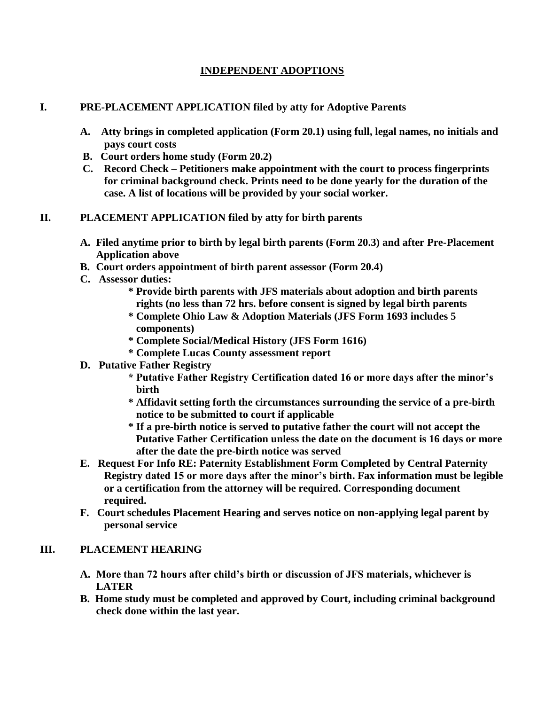# **INDEPENDENT ADOPTIONS**

## **I. PRE-PLACEMENT APPLICATION filed by atty for Adoptive Parents**

- **A. Atty brings in completed application (Form 20.1) using full, legal names, no initials and pays court costs**
- **B. Court orders home study (Form 20.2)**
- **C. Record Check – Petitioners make appointment with the court to process fingerprints for criminal background check. Prints need to be done yearly for the duration of the case. A list of locations will be provided by your social worker.**

## **II. PLACEMENT APPLICATION filed by atty for birth parents**

- **A. Filed anytime prior to birth by legal birth parents (Form 20.3) and after Pre-Placement Application above**
- **B. Court orders appointment of birth parent assessor (Form 20.4)**
- **C. Assessor duties:**
	- **\* Provide birth parents with JFS materials about adoption and birth parents rights (no less than 72 hrs. before consent is signed by legal birth parents**
	- **\* Complete Ohio Law & Adoption Materials (JFS Form 1693 includes 5 components)**
	- **\* Complete Social/Medical History (JFS Form 1616)**
	- **\* Complete Lucas County assessment report**
- **D. Putative Father Registry**
	- **\* Putative Father Registry Certification dated 16 or more days after the minor's birth**
	- **\* Affidavit setting forth the circumstances surrounding the service of a pre-birth notice to be submitted to court if applicable**
	- **\* If a pre-birth notice is served to putative father the court will not accept the Putative Father Certification unless the date on the document is 16 days or more after the date the pre-birth notice was served**
- **E. Request For Info RE: Paternity Establishment Form Completed by Central Paternity Registry dated 15 or more days after the minor's birth. Fax information must be legible or a certification from the attorney will be required. Corresponding document required.**
- **F. Court schedules Placement Hearing and serves notice on non-applying legal parent by personal service**

#### **III. PLACEMENT HEARING**

- **A. More than 72 hours after child's birth or discussion of JFS materials, whichever is LATER**
- **B. Home study must be completed and approved by Court, including criminal background check done within the last year.**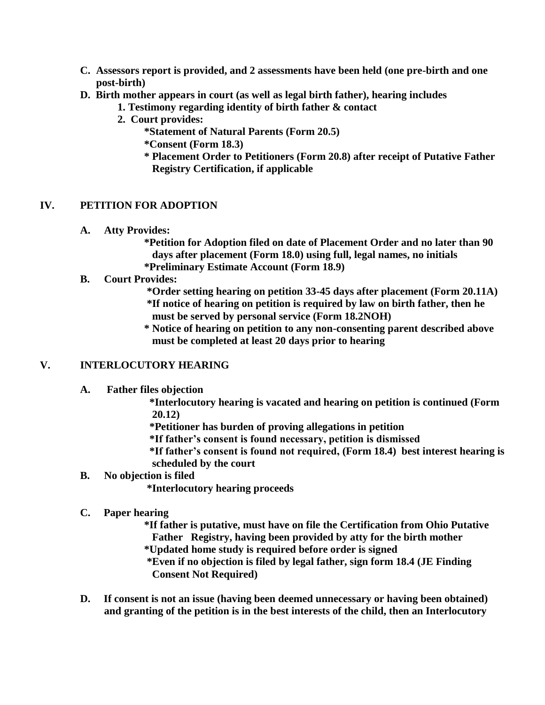- **C. Assessors report is provided, and 2 assessments have been held (one pre-birth and one post-birth)**
- **D. Birth mother appears in court (as well as legal birth father), hearing includes**
	- **1. Testimony regarding identity of birth father & contact**
	- **2. Court provides:**
		- **\*Statement of Natural Parents (Form 20.5)**
		- **\*Consent (Form 18.3)**
		- **\* Placement Order to Petitioners (Form 20.8) after receipt of Putative Father Registry Certification, if applicable**

## **IV. PETITION FOR ADOPTION**

**A. Atty Provides:**

**\*Petition for Adoption filed on date of Placement Order and no later than 90 days after placement (Form 18.0) using full, legal names, no initials \*Preliminary Estimate Account (Form 18.9)**

- **B. Court Provides:**
	- **\*Order setting hearing on petition 33-45 days after placement (Form 20.11A) \*If notice of hearing on petition is required by law on birth father, then he must be served by personal service (Form 18.2NOH)**
	- **\* Notice of hearing on petition to any non-consenting parent described above must be completed at least 20 days prior to hearing**

#### **V. INTERLOCUTORY HEARING**

**A. Father files objection**

 **\*Interlocutory hearing is vacated and hearing on petition is continued (Form 20.12)**

 **\*Petitioner has burden of proving allegations in petition**

 **\*If father's consent is found necessary, petition is dismissed**

 **\*If father's consent is found not required, (Form 18.4) best interest hearing is scheduled by the court**

**B. No objection is filed**

**\*Interlocutory hearing proceeds**

- **C. Paper hearing**
	- **\*If father is putative, must have on file the Certification from Ohio Putative Father Registry, having been provided by atty for the birth mother \*Updated home study is required before order is signed**
	- **\*Even if no objection is filed by legal father, sign form 18.4 (JE Finding Consent Not Required)**
- **D. If consent is not an issue (having been deemed unnecessary or having been obtained) and granting of the petition is in the best interests of the child, then an Interlocutory**